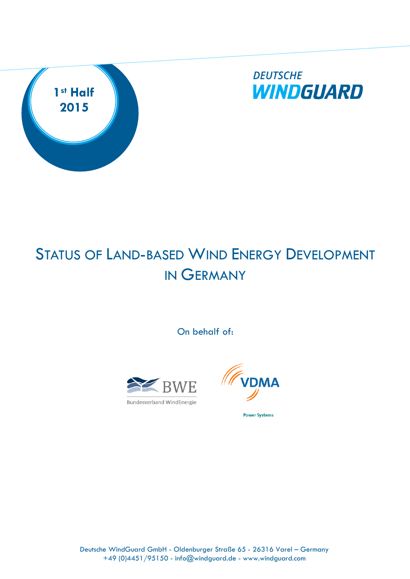

**DEUTSCHE WINDGUARD** 

# STATUS OF LAND-BASED WIND ENERGY DEVELOPMENT IN GERMANY

On behalf of:





**Power Systems**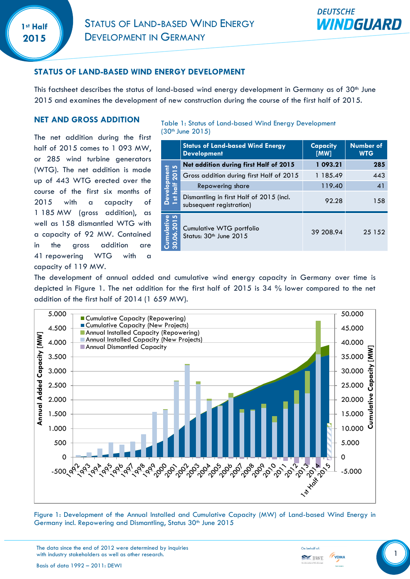

## **STATUS OF LAND-BASED WIND ENERGY DEVELOPMENT**

This factsheet describes the status of land-based wind energy development in Germany as of 30<sup>th</sup> June 2015 and examines the development of new construction during the course of the first half of 2015.

#### **NET AND GROSS ADDITION**

The net addition during the first half of 2015 comes to 1 093 MW, or 285 wind turbine generators (WTG). The net addition is made up of 443 WTG erected over the course of the first six months of 2015 with a capacity of 1 185 MW (gross addition), as well as 158 dismantled WTG with a capacity of 92 MW. Contained in the gross addition are 41 repowering WTG with a capacity of 119 MW.

Table 1: Status of Land-based Wind Energy Development (30th June 2015)

|                              | <b>Status of Land-based Wind Energy</b><br><b>Development</b>        | Capacity<br>[MW] | <b>Number of</b><br><b>WTG</b> |
|------------------------------|----------------------------------------------------------------------|------------------|--------------------------------|
|                              | Net addition during first Half of 2015                               | 1 093.21         | 285                            |
|                              | Gross addition during first Half of 2015                             | 1 185.49         | 443                            |
| Development<br>1st half 2015 | Repowering share                                                     | 119.40           | 41                             |
|                              | Dismantling in first Half of 2015 (incl.<br>subsequent registration) | 92.28            | 158                            |
| 5<br>Cumulativ<br>30.06.201  | Cumulative WTG portfolio<br>Status: 30 <sup>th</sup> June 2015       | 39 208.94        | 25 152                         |

The development of annual added and cumulative wind energy capacity in Germany over time is depicted in Figure 1. The net addition for the first half of 2015 is 34 % lower compared to the net addition of the first half of 2014 (1 659 MW).



Figure 1: Development of the Annual Installed and Cumulative Capacity (MW) of Land-based Wind Energy in Germany incl. Repowering and Dismantling, Status 30<sup>th</sup> June 2015

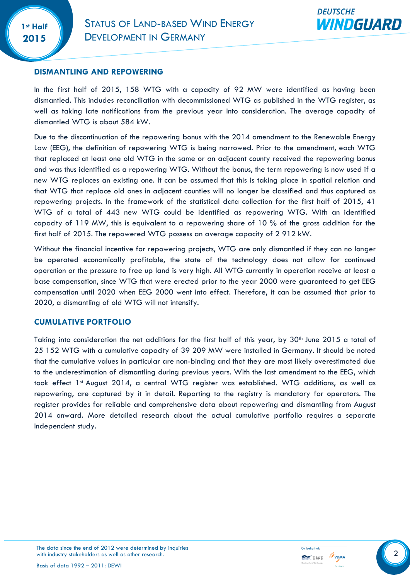

## **DISMANTLING AND REPOWERING**

In the first half of 2015, 158 WTG with a capacity of 92 MW were identified as having been dismantled. This includes reconciliation with decommissioned WTG as published in the WTG register, as well as taking late notifications from the previous year into consideration. The average capacity of dismantled WTG is about 584 kW.

Due to the discontinuation of the repowering bonus with the 2014 amendment to the Renewable Energy Law (EEG), the definition of repowering WTG is being narrowed. Prior to the amendment, each WTG that replaced at least one old WTG in the same or an adjacent county received the repowering bonus and was thus identified as a repowering WTG. Without the bonus, the term repowering is now used if a new WTG replaces an existing one. It can be assumed that this is taking place in spatial relation and that WTG that replace old ones in adjacent counties will no longer be classified and thus captured as repowering projects. In the framework of the statistical data collection for the first half of 2015, 41 WTG of a total of 443 new WTG could be identified as repowering WTG. With an identified capacity of 119 MW, this is equivalent to a repowering share of 10 % of the gross addition for the first half of 2015. The repowered WTG possess an average capacity of 2 912 kW.

Without the financial incentive for repowering projects, WTG are only dismantled if they can no longer be operated economically profitable, the state of the technology does not allow for continued operation or the pressure to free up land is very high. All WTG currently in operation receive at least a base compensation, since WTG that were erected prior to the year 2000 were guaranteed to get EEG compensation until 2020 when EEG 2000 went into effect. Therefore, it can be assumed that prior to 2020, a dismantling of old WTG will not intensify.

#### **CUMULATIVE PORTFOLIO**

Taking into consideration the net additions for the first half of this year, by 30th June 2015 a total of 25 152 WTG with a cumulative capacity of 39 209 MW were installed in Germany. It should be noted that the cumulative values in particular are non-binding and that they are most likely overestimated due to the underestimation of dismantling during previous years. With the last amendment to the EEG, which took effect 1st August 2014, a central WTG register was established. WTG additions, as well as repowering, are captured by it in detail. Reporting to the registry is mandatory for operators. The register provides for reliable and comprehensive data about repowering and dismantling from August 2014 onward. More detailed research about the actual cumulative portfolio requires a separate independent study.



**VDMA**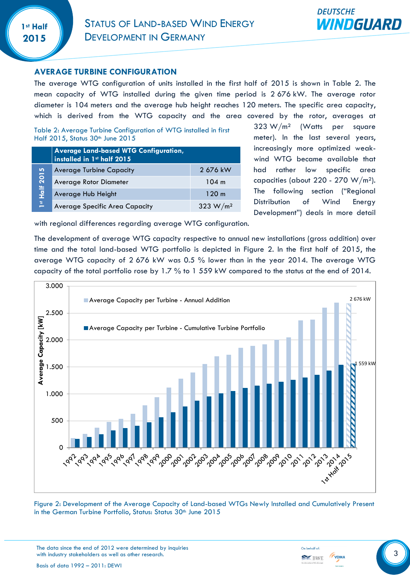

## **AVERAGE TURBINE CONFIGURATION**

The average WTG configuration of units installed in the first half of 2015 is shown in [Table 2.](#page-4-0) The mean capacity of WTG installed during the given time period is 2 676 kW. The average rotor diameter is 104 meters and the average hub height reaches 120 meters. The specific area capacity, which is derived from the WTG capacity and the area covered by the rotor, averages at

<span id="page-4-0"></span>Table 2: Average Turbine Configuration of WTG installed in first Half 2015, Status 30<sup>th</sup> June 2015

|               | Average Land-based WTG Configuration,<br>installed in 1st half 2015 |                      |
|---------------|---------------------------------------------------------------------|----------------------|
|               | <b>Average Turbine Capacity</b>                                     | 2 676 kW             |
|               | Average Rotor Diameter                                              | $104 \; m$           |
| 1st Half 2015 | Average Hub Height                                                  | 120 <sub>m</sub>     |
|               | <b>Average Specific Area Capacity</b>                               | 323 W/m <sup>2</sup> |

323 W/m² (Watts per square meter). In the last several years, increasingly more optimized weakwind WTG became available that had rather low specific area capacities (about 220 - 270 W/m²). The following section ("Regional Distribution of Wind Energy Development") deals in more detail

with regional differences regarding average WTG configuration.

The development of average WTG capacity respective to annual new installations (gross addition) over time and the total land-based WTG portfolio is depicted in Figure 2. In the first half of 2015, the average WTG capacity of 2 676 kW was 0.5 % lower than in the year 2014. The average WTG capacity of the total portfolio rose by 1.7 % to 1 559 kW compared to the status at the end of 2014.



Figure 2: Development of the Average Capacity of Land-based WTGs Newly Installed and Cumulatively Present in the German Turbine Portfolio, Status: Status 30<sup>th</sup> June 2015

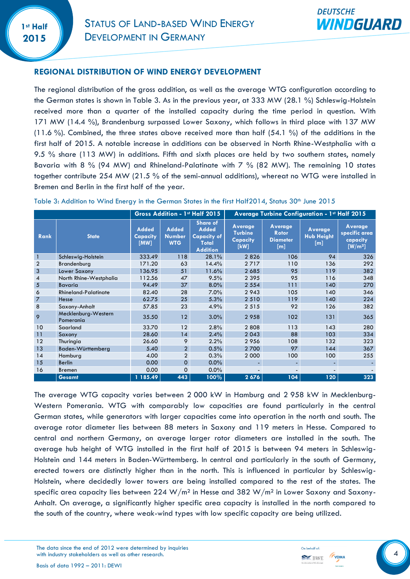

## **REGIONAL DISTRIBUTION OF WIND ENERGY DEVELOPMENT**

The regional distribution of the gross addition, as well as the average WTG configuration according to the German states is shown in Table 3. As in the previous year, at 333 MW (28.1 %) Schleswig-Holstein received more than a quarter of the installed capacity during the time period in question. With 171 MW (14.4 %), Brandenburg surpassed Lower Saxony, which follows in third place with 137 MW (11.6 %). Combined, the three states above received more than half (54.1 %) of the additions in the first half of 2015. A notable increase in additions can be observed in North Rhine-Westphalia with a 9.5 % share (113 MW) in additions. Fifth and sixth places are held by two southern states, namely Bavaria with 8 % (94 MW) and Rhineland-Palatinate with 7 % (82 MW). The remaining 10 states together contribute 254 MW (21.5 % of the semi-annual additions), whereat no WTG were installed in Bremen and Berlin in the first half of the year.

|                |                                  |                                         | Gross Addition - 1st Half 2015              |                                                                                          |                                               | Average Turbine Configuration - 1st Half 2015            |                                            |                                                          |
|----------------|----------------------------------|-----------------------------------------|---------------------------------------------|------------------------------------------------------------------------------------------|-----------------------------------------------|----------------------------------------------------------|--------------------------------------------|----------------------------------------------------------|
| <b>Rank</b>    | <b>State</b>                     | <b>Added</b><br><b>Capacity</b><br>[MW] | <b>Added</b><br><b>Number</b><br><b>WTG</b> | <b>Share of</b><br><b>Added</b><br><b>Capacity of</b><br><b>Total</b><br><b>Addition</b> | Average<br><b>Turbine</b><br>Capacity<br>[kW] | <b>Average</b><br><b>Rotor</b><br><b>Diameter</b><br>[m] | <b>Average</b><br><b>Hub Height</b><br>[m] | <b>Average</b><br>specific area<br>capacity<br>$[W/m^2]$ |
| $\mathbf{1}$   | Schleswig-Holstein               | 333.49                                  | 118                                         | 28.1%                                                                                    | 2826                                          | 106                                                      | 94                                         | 326                                                      |
| $\overline{2}$ | Brandenburg                      | 171.20                                  | 63                                          | 14.4%                                                                                    | 2717                                          | 110                                                      | 136                                        | 292                                                      |
| $\mathbf{3}$   | Lower Saxony                     | 136.95                                  | 51                                          | 11.6%                                                                                    | 2685                                          | 95                                                       | 119                                        | 382                                                      |
| $\overline{4}$ | North Rhine-Westphalia           | 112.56                                  | 47                                          | 9.5%                                                                                     | 2 3 9 5                                       | 95                                                       | 116                                        | 348                                                      |
| 5              | <b>Bavaria</b>                   | 94.49                                   | 37                                          | $8.0\%$                                                                                  | 2 5 5 4                                       | 111                                                      | 140                                        | 270                                                      |
| 6              | <b>Rhineland-Palatinate</b>      | 82.40                                   | 28                                          | 7.0%                                                                                     | 2943                                          | 105                                                      | 140                                        | 346                                                      |
| $\overline{7}$ | Hesse                            | 62.75                                   | 25                                          | 5.3%                                                                                     | 2 5 1 0                                       | 119                                                      | 140                                        | 224                                                      |
| 8              | Saxony-Anhalt                    | 57.85                                   | 23                                          | 4.9%                                                                                     | 2515                                          | 92                                                       | 126                                        | 382                                                      |
| 9              | Mecklenburg-Western<br>Pomerania | 35.50                                   | 12                                          | 3.0%                                                                                     | 2958                                          | 102                                                      | 131                                        | 365                                                      |
| 10             | Saarland                         | 33.70                                   | 12                                          | 2.8%                                                                                     | 2808                                          | 113                                                      | 143                                        | 280                                                      |
| 11             | Saxony                           | 28.60                                   | 14                                          | 2.4%                                                                                     | 2 0 4 3                                       | 88                                                       | 103                                        | 334                                                      |
| 12             | Thuringia                        | 26.60                                   | 9                                           | 2.2%                                                                                     | 2956                                          | 108                                                      | 132                                        | 323                                                      |
| 13             | Baden-Württemberg                | 5.40                                    | $\overline{2}$                              | 0.5%                                                                                     | 2700                                          | 97                                                       | 144                                        | 367                                                      |
| 14             | Hamburg                          | 4.00                                    | $\overline{2}$                              | 0.3%                                                                                     | 2 0 0 0                                       | 100                                                      | 100                                        | 255                                                      |
| 15             | <b>Berlin</b>                    | 0.00                                    | $\Omega$                                    | $0.0\%$                                                                                  |                                               |                                                          |                                            |                                                          |
| 16             | <b>Bremen</b>                    | 0.00                                    | 0                                           | $0.0\%$                                                                                  |                                               |                                                          |                                            |                                                          |
|                | <b>Gesamt</b>                    | 1 185.49                                | 443                                         | 100%                                                                                     | 2676                                          | 104                                                      | 120                                        | 323                                                      |

Table 3: Addition to Wind Energy in the German States in the first Half2014, Status 30<sup>th</sup> June 2015

The average WTG capacity varies between 2 000 kW in Hamburg and 2 958 kW in Mecklenburg-Western Pomerania. WTG with comparably low capacities are found particularly in the central German states, while generators with larger capacities came into operation in the north and south. The average rotor diameter lies between 88 meters in Saxony and 119 meters in Hesse. Compared to central and northern Germany, on average larger rotor diameters are installed in the south. The average hub height of WTG installed in the first half of 2015 is between 94 meters in Schleswig-Holstein and 144 meters in Baden-Württemberg. In central and particularly in the south of Germany, erected towers are distinctly higher than in the north. This is influenced in particular by Schleswig-Holstein, where decidedly lower towers are being installed compared to the rest of the states. The specific area capacity lies between 224 W/m<sup>2</sup> in Hesse and 382 W/m<sup>2</sup> in Lower Saxony and Saxony-Anhalt. On average, a significantly higher specific area capacity is installed in the north compared to the south of the country, where weak-wind types with low specific capacity are being utilized.

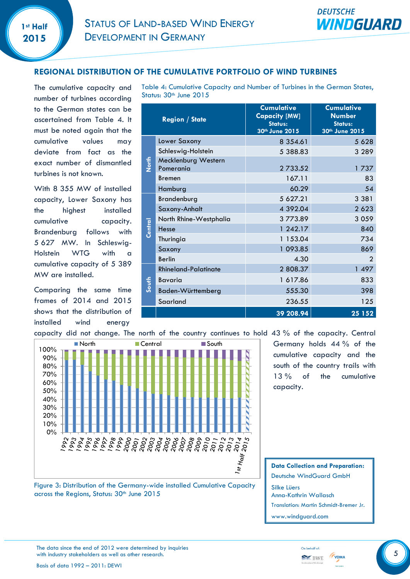

## **REGIONAL DISTRIBUTION OF THE CUMULATIVE PORTFOLIO OF WIND TURBINES**

The cumulative capacity and number of turbines according to the German states can be ascertained from Table 4. It must be noted again that the cumulative values may deviate from fact as the exact number of dismantled turbines is not known.

With 8 355 MW of installed capacity, Lower Saxony has the highest installed cumulative capacity. Brandenburg follows with 5 627 MW. In Schleswig-Holstein WTG with a cumulative capacity of 5 389 MW are installed.

Comparing the same time frames of 2014 and 2015 shows that the distribution of installed wind energy

Table 4: Cumulative Capacity and Number of Turbines in the German States, Status: 30<sup>th</sup> June 2015

|         | <b>Region / State</b>            | <b>Cumulative</b><br>Capacity [MW]<br><b>Status:</b><br>30th June 2015 | <b>Cumulative</b><br><b>Number</b><br><b>Status:</b><br>30th June 2015 |
|---------|----------------------------------|------------------------------------------------------------------------|------------------------------------------------------------------------|
| North   | Lower Saxony                     | 8 3 5 4 . 6 1                                                          | 5 6 28                                                                 |
|         | Schleswig-Holstein               | 5 388.83                                                               | 3 2 8 9                                                                |
|         | Mecklenburg Western<br>Pomerania | 2733.52                                                                | 1737                                                                   |
|         | <b>Bremen</b>                    | 167.11                                                                 | 83                                                                     |
|         | Hamburg                          | 60.29                                                                  | 54                                                                     |
| Central | Brandenburg                      | 5 627.21                                                               | 3 3 8 1                                                                |
|         | Saxony-Anhalt                    | 4 3 9 2.0 4                                                            | 2 6 2 3                                                                |
|         | North Rhine-Westphalia           | 3773.89                                                                | 3 0 5 9                                                                |
|         | <b>Hesse</b>                     | 1 242.17                                                               | 840                                                                    |
|         | Thuringia                        | 1 153.04                                                               | 734                                                                    |
|         | Saxony                           | 1 093.85                                                               | 869                                                                    |
|         | <b>Berlin</b>                    | 4.30                                                                   | $\overline{2}$                                                         |
| South   | <b>Rhineland-Palatinate</b>      | 2 808.37                                                               | 1 497                                                                  |
|         | <b>Bavaria</b>                   | 1 617.86                                                               | 833                                                                    |
|         | Baden-Württemberg                | 555.30                                                                 | 398                                                                    |
|         | Saarland                         | 236.55                                                                 | 125                                                                    |
|         |                                  | 39 208.94                                                              | 25 152                                                                 |

capacity did not change. The north of the country continues to hold 43 % of the capacity. Central



Figure 3: Distribution of the Germany-wide installed Cumulative Capacity across the Regions, Status: 30<sup>th</sup> June 2015

Germany holds 44 % of the cumulative capacity and the south of the country trails with 13 % of the cumulative capacity.

**Data Collection and Preparation:** Deutsche WindGuard GmbH Silke Lüers Anna-Kathrin Wallasch Translation: Martin Schmidt-Bremer Jr. www.windguard.com

The data since the end of 2012 were determined by inquiries with industry stakeholders as well as other research.